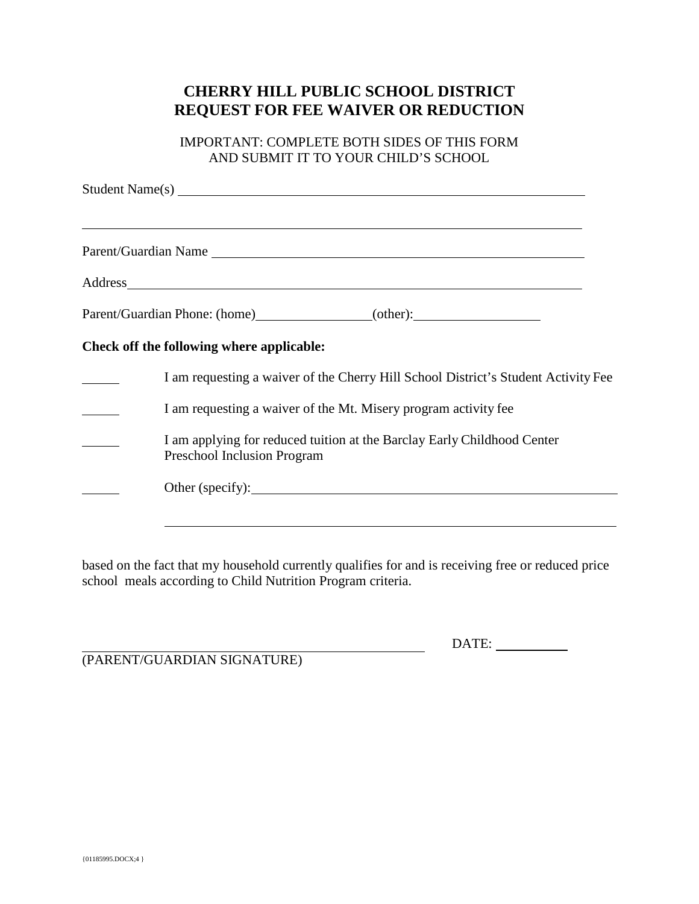## **CHERRY HILL PUBLIC SCHOOL DISTRICT REQUEST FOR FEE WAIVER OR REDUCTION**

IMPORTANT: COMPLETE BOTH SIDES OF THIS FORM AND SUBMIT IT TO YOUR CHILD'S SCHOOL

|  | ,我们也不会有什么。""我们的人,我们也不会有什么?""我们的人,我们也不会有什么?""我们的人,我们也不会有什么?""我们的人,我们也不会有什么?""我们的人                                                                                                                                               |
|--|--------------------------------------------------------------------------------------------------------------------------------------------------------------------------------------------------------------------------------|
|  | Address and the contract of the contract of the contract of the contract of the contract of the contract of the contract of the contract of the contract of the contract of the contract of the contract of the contract of th |
|  |                                                                                                                                                                                                                                |
|  | Check off the following where applicable:                                                                                                                                                                                      |
|  | I am requesting a waiver of the Cherry Hill School District's Student Activity Fee                                                                                                                                             |
|  | I am requesting a waiver of the Mt. Misery program activity fee                                                                                                                                                                |
|  | I am applying for reduced tuition at the Barclay Early Childhood Center<br>Preschool Inclusion Program                                                                                                                         |
|  | Other (specify):                                                                                                                                                                                                               |

based on the fact that my household currently qualifies for and is receiving free or reduced price school meals according to Child Nutrition Program criteria.

DATE:

(PARENT/GUARDIAN SIGNATURE)